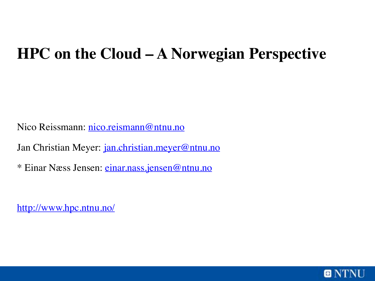#### **HPC on the Cloud – A Norwegian Perspective**

Nico Reissmann: [nico.reismann@ntnu.no](mailto:nico.reismann@ntnu.no)

Jan Christian Meyer: [jan.christian.meyer@ntnu.no](mailto:jan.christian.meyer@ntnu.no)

\* Einar Næss Jensen: [einar.nass.jensen@ntnu.no](mailto:einar.nass.jensen@ntnu.no)

<http://www.hpc.ntnu.no/>

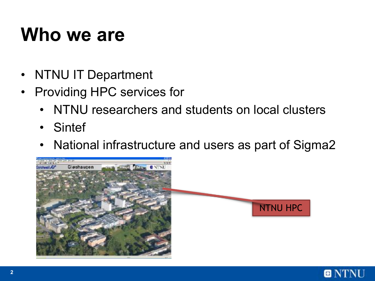### **Who we are**

- NTNU IT Department
- Providing HPC services for
	- NTNU researchers and students on local clusters
	- Sintef
	- National infrastructure and users as part of Sigma2



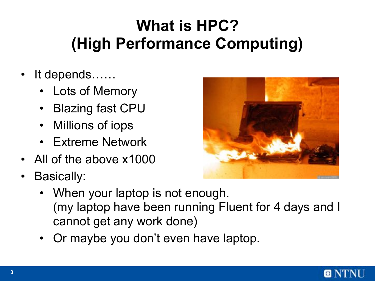#### **What is HPC? (High Performance Computing)**

- It depends......
	- Lots of Memory
	- Blazing fast CPU
	- Millions of iops
	- **Extreme Network**
- All of the above x1000
- Basically:
	- When your laptop is not enough. (my laptop have been running Fluent for 4 days and I cannot get any work done)
	- Or maybe you don't even have laptop.



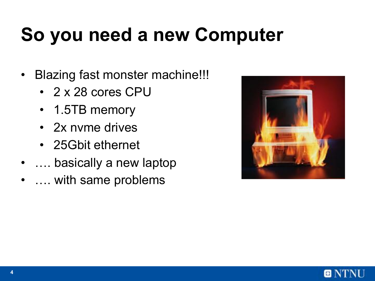## **So you need a new Computer**

- Blazing fast monster machine!!!
	- 2 x 28 cores CPU
	- 1.5TB memory
	- 2x nyme drives
	- 25Gbit ethernet
- …. basically a new laptop
- ... with same problems



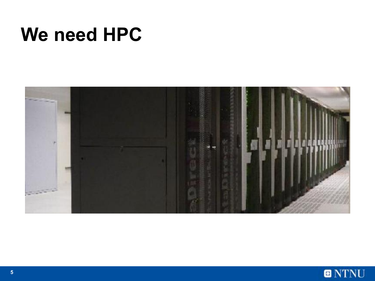### **We need HPC**



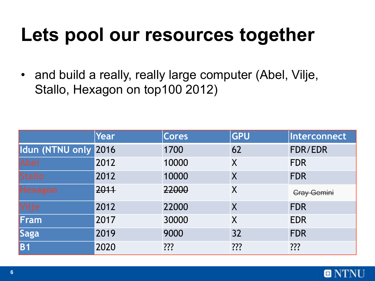### **Lets pool our resources together**

• and build a really, really large computer (Abel, Vilje, Stallo, Hexagon on top100 2012)

|                      | Year | <b>Cores</b> | <b>GPU</b> | Interconnect       |
|----------------------|------|--------------|------------|--------------------|
| Idun (NTNU only 2016 |      | 1700         | 62         | FDR/EDR            |
| <b>Abel</b>          | 2012 | 10000        | X          | <b>FDR</b>         |
| <b>Stallo</b>        | 2012 | 10000        | X          | <b>FDR</b>         |
|                      | 2011 | 22000        | $\sf X$    | <b>Cray Gemini</b> |
| <b>Vilje</b>         | 2012 | 22000        | $\sf X$    | <b>FDR</b>         |
| Fram                 | 2017 | 30000        | $\sf X$    | <b>EDR</b>         |
| Saga                 | 2019 | 9000         | 32         | <b>FDR</b>         |
| $\overline{B1}$      | 2020 | ???          | ???        | ???                |

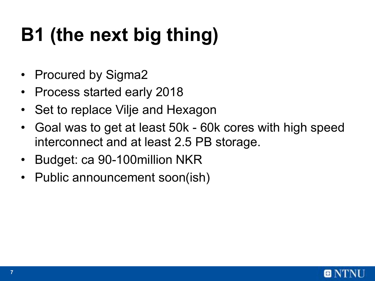# **B1 (the next big thing)**

- Procured by Sigma2
- Process started early 2018
- Set to replace Vilje and Hexagon
- Goal was to get at least 50k 60k cores with high speed interconnect and at least 2.5 PB storage.
- Budget: ca 90-100million NKR
- Public announcement soon(ish)

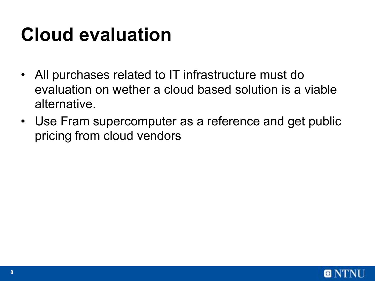### **Cloud evaluation**

- All purchases related to IT infrastructure must do evaluation on wether a cloud based solution is a viable alternative.
- Use Fram supercomputer as a reference and get public pricing from cloud vendors

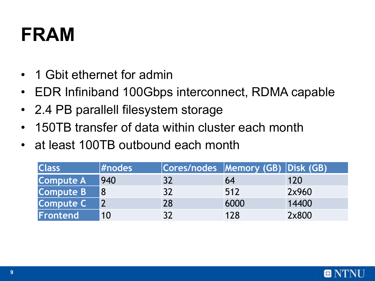### **FRAM**

- 1 Gbit ethernet for admin
- EDR Infiniband 100Gbps interconnect, RDMA capable
- 2.4 PB parallell filesystem storage
- 150TB transfer of data within cluster each month
- at least 100TB outbound each month

| <b>Class</b>     | #nodes |    | Cores/nodes Memory (GB) Disk (GB) |       |
|------------------|--------|----|-----------------------------------|-------|
| <b>Compute A</b> | 940    | 32 | 64                                | 120   |
| <b>Compute B</b> |        | 32 | 512                               | 2x960 |
| <b>Compute C</b> |        | 28 | 6000                              | 14400 |
| Frontend         | 10     |    | 128                               | 2x800 |

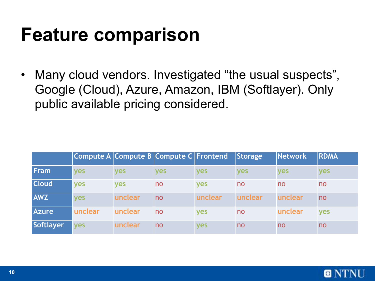### **Feature comparison**

• Many cloud vendors. Investigated "the usual suspects", Google (Cloud), Azure, Amazon, IBM (Softlayer). Only public available pricing considered.

|                  | Compute A Compute B Compute C Frontend |            |            |            | Storage    | Network    | <b>RDMA</b> |
|------------------|----------------------------------------|------------|------------|------------|------------|------------|-------------|
| <b>Fram</b>      | <b>ves</b>                             | <b>ves</b> | <b>ves</b> | <b>ves</b> | <b>ves</b> | <b>ves</b> | <b>ves</b>  |
| <b>Cloud</b>     | <b>yes</b>                             | <b>ves</b> | no         | <b>ves</b> | no         | no         | no          |
| <b>AWZ</b>       | <b>Ves</b>                             | unclear    | no         | unclear    | unclear    | unclear    | no          |
| <b>Azure</b>     | unclear                                | unclear    | no         | <b>ves</b> | no         | unclear    | <b>ves</b>  |
| <b>Softlayer</b> | <b>ves</b>                             | unclear    | no         | <b>ves</b> | no         | no         | no          |

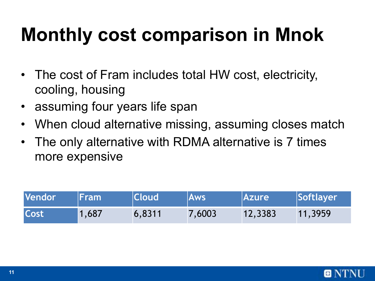# **Monthly cost comparison in Mnok**

- The cost of Fram includes total HW cost, electricity, cooling, housing
- assuming four years life span
- When cloud alternative missing, assuming closes match
- The only alternative with RDMA alternative is 7 times more expensive

| Vendor      | <b>\ Fram\</b> | <b>Cloud</b> | <b>Aws</b> | <b>Azure</b> | Softlayer |
|-------------|----------------|--------------|------------|--------------|-----------|
| <b>Cost</b> | 1,687          | 6,8311       | 7,6003     | 12,3383      | 11,3959   |

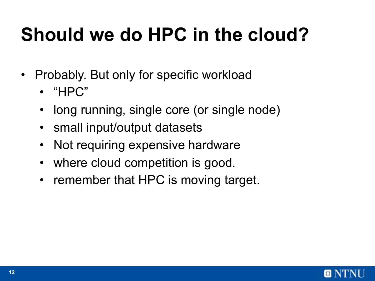# **Should we do HPC in the cloud?**

- Probably. But only for specific workload
	- "HPC"
	- long running, single core (or single node)
	- small input/output datasets
	- Not requiring expensive hardware
	- where cloud competition is good.
	- remember that HPC is moving target.

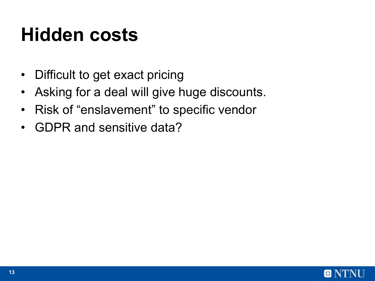### **Hidden costs**

- Difficult to get exact pricing
- Asking for a deal will give huge discounts.
- Risk of "enslavement" to specific vendor
- GDPR and sensitive data?

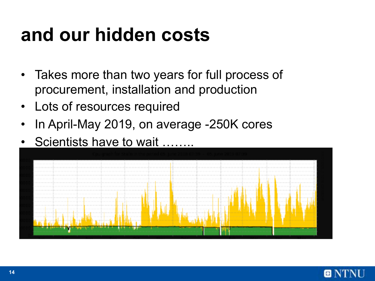### **and our hidden costs**

- Takes more than two years for full process of procurement, installation and production
- Lots of resources required
- In April-May 2019, on average -250K cores
- Scientists have to wait ……..



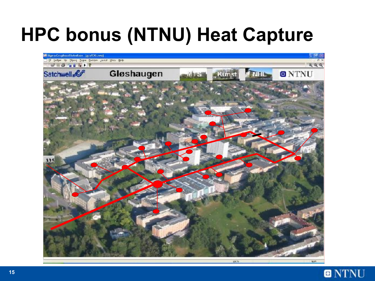# **HPC bonus (NTNU) Heat Capture**



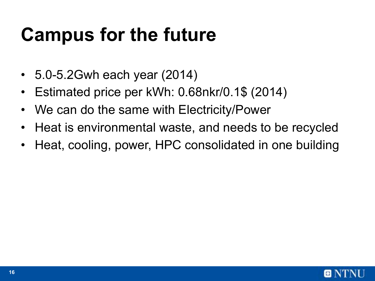### **Campus for the future**

- 5.0-5.2Gwh each year (2014)
- Estimated price per kWh: 0.68nkr/0.1\$ (2014)
- We can do the same with Electricity/Power
- Heat is environmental waste, and needs to be recycled
- Heat, cooling, power, HPC consolidated in one building